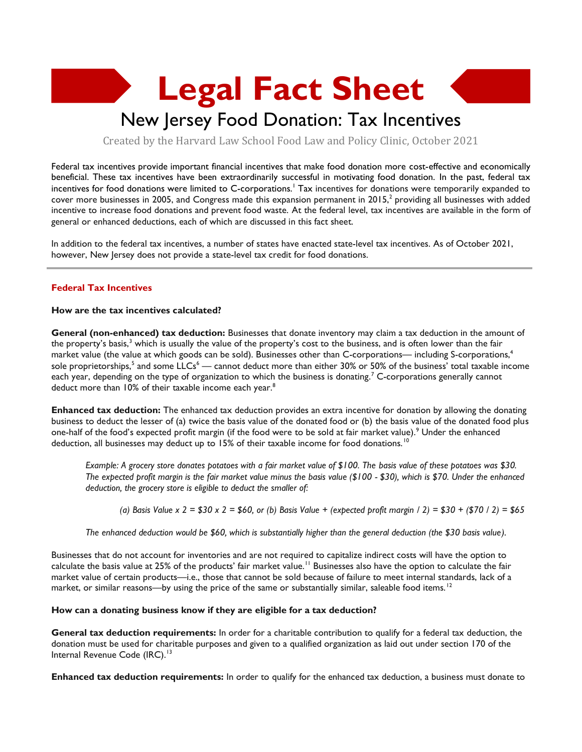# **Legal Fact Sheet**

## New Jersey Food Donation: Tax Incentives

Created by the Harvard Law School Food Law and Policy Clinic, October 2021

Federal tax incentives provide important financial incentives that make food donation more cost-effective and economically beneficial. These tax incentives have been extraordinarily successful in motivating food donation. In the past, federal tax incentives for food donations were limited to C-corporations.<sup>1</sup> Tax incentives for donations were temporarily expanded to cover more businesses in 2005, and Congress made this expansion permanent in 2015, $^2$  providing all businesses with added incentive to increase food donations and prevent food waste. At the federal level, tax incentives are available in the form of general or enhanced deductions, each of which are discussed in this fact sheet.

In addition to the federal tax incentives, a number of states have enacted state-level tax incentives. As of October 2021, however, New Jersey does not provide a state-level tax credit for food donations.

#### **Federal Tax Incentives**

#### **How are the tax incentives calculated?**

**General (non-enhanced) tax deduction:** Businesses that donate inventory may claim a tax deduction in the amount of the property's basis,<sup>3</sup> which is usually the value of the property's cost to the business, and is often lower than the fair market value (the value at which goods can be sold). Businesses other than C-corporations— including S-corporations,<sup>4</sup> sole proprietorships,<sup>5</sup> and some LLCs<sup>6</sup> — cannot deduct more than either 30% or 50% of the business' total taxable income each year, depending on the type of organization to which the business is donating.<sup>7</sup> C-corporations generally cannot deduct more than 10% of their taxable income each year.<sup>8</sup>

**Enhanced tax deduction:** The enhanced tax deduction provides an extra incentive for donation by allowing the donating business to deduct the lesser of (a) twice the basis value of the donated food or (b) the basis value of the donated food plus one-half of the food's expected profit margin (if the food were to be sold at fair market value).<sup>9</sup> Under the enhanced deduction, all businesses may deduct up to 15% of their taxable income for food donations.<sup>10</sup>

*Example: A grocery store donates potatoes with a fair market value of \$100. The basis value of these potatoes was \$30. The expected profit margin is the fair market value minus the basis value (\$100 - \$30), which is \$70. Under the enhanced deduction, the grocery store is eligible to deduct the smaller of:* 

*(a) Basis Value x 2 = \$30 x 2 = \$60, or (b) Basis Value + (expected profit margin / 2) = \$30 + (\$70 / 2) = \$65* 

*The enhanced deduction would be \$60, which is substantially higher than the general deduction (the \$30 basis value).* 

Businesses that do not account for inventories and are not required to capitalize indirect costs will have the option to calculate the basis value at 25% of the products' fair market value.<sup>11</sup> Businesses also have the option to calculate the fair market value of certain products—i.e., those that cannot be sold because of failure to meet internal standards, lack of a market, or similar reasons—by using the price of the same or substantially similar, saleable food items.<sup>12</sup>

#### **How can a donating business know if they are eligible for a tax deduction?**

**General tax deduction requirements:** In order for a charitable contribution to qualify for a federal tax deduction, the donation must be used for charitable purposes and given to a qualified organization as laid out under section 170 of the Internal Revenue Code (IRC).<sup>13</sup>

**Enhanced tax deduction requirements:** In order to qualify for the enhanced tax deduction, a business must donate to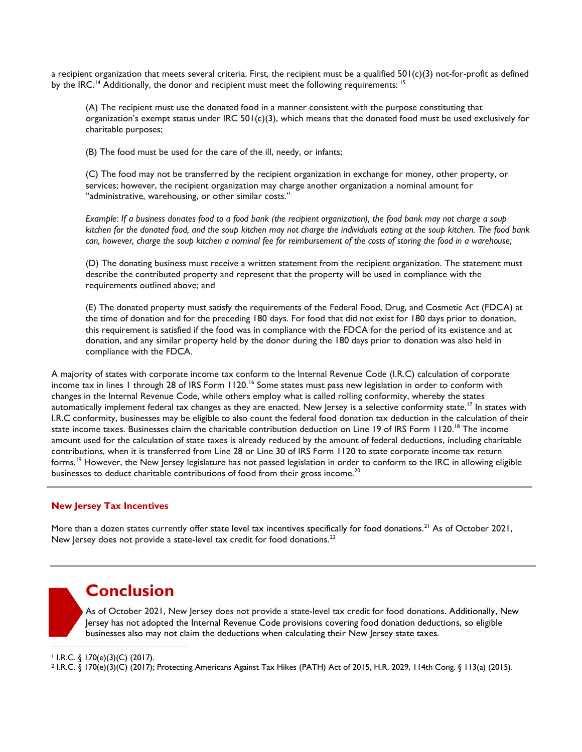a recipient organization that meets several criteria. First, the recipient must be a qualified 501(c)(3) not-for-profit as defined by the IRC.<sup>14</sup> Additionally, the donor and recipient must meet the following requirements:  $15$ 

(A) The recipient must use the donated food in a manner consistent with the purpose constituting that organization's exempt status under IRC  $501(c)(3)$ , which means that the donated food must be used exclusively for charitable purposes;

(B) The food must be used for the care of the ill, needy, or infants;

(C) The food may not be transferred by the recipient organization in exchange for money, other property, or services; however, the recipient organization may charge another organization a nominal amount for "administrative, warehousing, or other similar costs."

*Example: If a business donates food to a food bank (the recipient organization), the food bank may not charge a soup kitchen for the donated food, and the soup kitchen may not charge the individuals eating at the soup kitchen. The food bank can, however, charge the soup kitchen a nominal fee for reimbursement of the costs of storing the food in a warehouse;*

(D) The donating business must receive a written statement from the recipient organization. The statement must describe the contributed property and represent that the property will be used in compliance with the requirements outlined above; and

(E) The donated property must satisfy the requirements of the Federal Food, Drug, and Cosmetic Act (FDCA) at the time of donation and for the preceding 180 days. For food that did not exist for 180 days prior to donation, this requirement is satisfied if the food was in compliance with the FDCA for the period of its existence and at donation, and any similar property held by the donor during the 180 days prior to donation was also held in compliance with the FDCA.

A majority of states with corporate income tax conform to the Internal Revenue Code (I.R.C) calculation of corporate income tax in lines 1 through 28 of IRS Form 1120.<sup>16</sup> Some states must pass new legislation in order to conform with changes in the Internal Revenue Code, while others employ what is called rolling conformity, whereby the states automatically implement federal tax changes as they are enacted. New Jersey is a selective conformity state.<sup>17</sup> In states with I.R.C conformity, businesses may be eligible to also count the federal food donation tax deduction in the calculation of their state income taxes. Businesses claim the charitable contribution deduction on Line 19 of IRS Form 1120.<sup>18</sup> The income amount used for the calculation of state taxes is already reduced by the amount of federal deductions, including charitable contributions, when it is transferred from Line 28 or Line 30 of IRS Form 1120 to state corporate income tax return forms.<sup>19</sup> However, the New Jersey legislature has not passed legislation in order to conform to the IRC in allowing eligible businesses to deduct charitable contributions of food from their gross income.<sup>20</sup>

#### **New Jersey Tax Incentives**

More than a dozen states currently offer state level tax incentives specifically for food donations.<sup>21</sup> As of October 2021, New Jersey does not provide a state-level tax credit for food donations.<sup>22</sup>

### **Conclusion**

As of October 2021, New Jersey does not provide a state-level tax credit for food donations. Additionally, New Jersey has not adopted the Internal Revenue Code provisions covering food donation deductions, so eligible businesses also may not claim the deductions when calculating their New Jersey state taxes.

 $\perp$  I.R.C. § 170(e)(3)(C) (2017).

<sup>2</sup> I.R.C. § 170(e)(3)(C) (2017); Protecting Americans Against Tax Hikes (PATH) Act of 2015, H.R. 2029, 114th Cong. § 113(a) (2015).